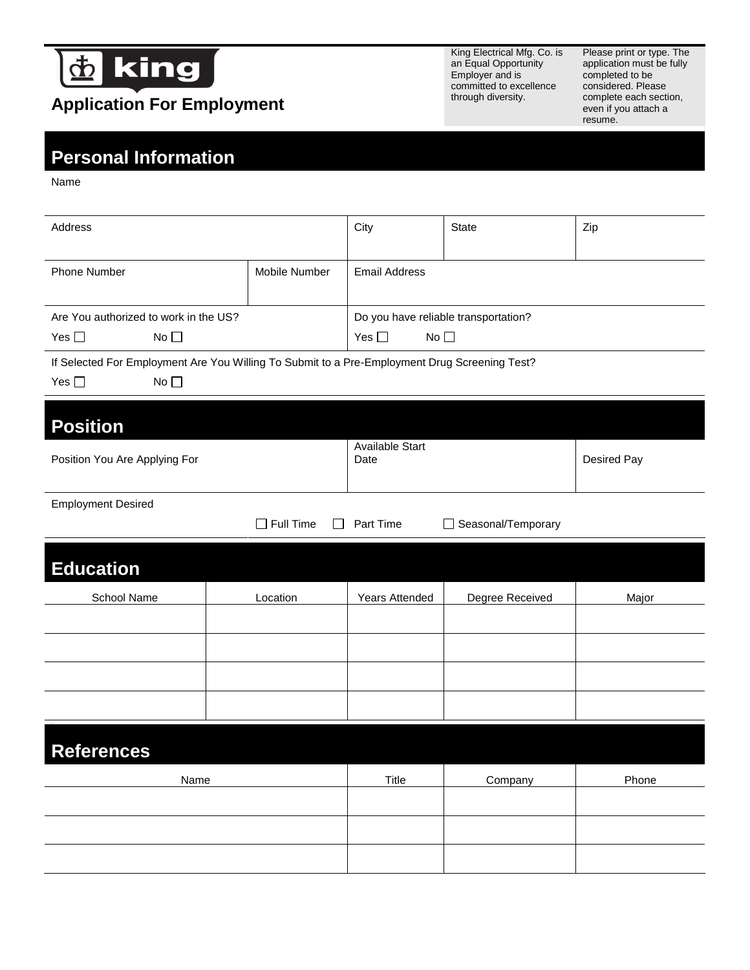

## **Application For Employment**

King Electrical Mfg. Co. is an Equal Opportunity Employer and is committed to excellence through diversity.

Please print or type. The application must be fully completed to be considered. Please complete each section, even if you attach a resume.

## **Personal Information**

Name

| Address                                                                                                                                                      |                                  | City                                 | <b>State</b>       | Zip               |  |
|--------------------------------------------------------------------------------------------------------------------------------------------------------------|----------------------------------|--------------------------------------|--------------------|-------------------|--|
| Phone Number                                                                                                                                                 |                                  | <b>Email Address</b>                 |                    |                   |  |
| Are you authorized to work in the US?                                                                                                                        |                                  | Do you have reliable transportation? |                    |                   |  |
| Yes $\square$<br>No                                                                                                                                          |                                  | Yes $\square$<br>No                  |                    |                   |  |
|                                                                                                                                                              |                                  |                                      |                    |                   |  |
| If offered a job, are you willing to submit to a pre-employment background and/or driving record check (if the job requires driving)?<br>Yes $\square$<br>No |                                  |                                      |                    |                   |  |
| <b>Position</b>                                                                                                                                              |                                  |                                      |                    |                   |  |
| Position(s) you are applying for                                                                                                                             |                                  | Available Start Date                 |                    | Desired Pay Range |  |
|                                                                                                                                                              |                                  |                                      |                    |                   |  |
| <b>Employment Desired</b>                                                                                                                                    |                                  |                                      |                    |                   |  |
|                                                                                                                                                              | $\Box$ Full Time<br>$\mathsf{L}$ | Part Time                            | Seasonal/Temporary |                   |  |
|                                                                                                                                                              |                                  |                                      |                    |                   |  |
| <b>Education</b>                                                                                                                                             |                                  |                                      |                    |                   |  |
| School Name                                                                                                                                                  | Location                         | Years Attended                       | Degree Received    | Major             |  |
|                                                                                                                                                              |                                  |                                      |                    |                   |  |
|                                                                                                                                                              |                                  |                                      |                    |                   |  |
|                                                                                                                                                              |                                  |                                      |                    |                   |  |
|                                                                                                                                                              |                                  |                                      |                    |                   |  |
|                                                                                                                                                              |                                  |                                      |                    |                   |  |
| <b>References</b>                                                                                                                                            |                                  |                                      |                    |                   |  |
| Name                                                                                                                                                         |                                  | Title                                | Company            | Phone             |  |
|                                                                                                                                                              |                                  |                                      |                    |                   |  |
|                                                                                                                                                              |                                  |                                      |                    |                   |  |
|                                                                                                                                                              |                                  |                                      |                    |                   |  |
|                                                                                                                                                              |                                  |                                      |                    |                   |  |